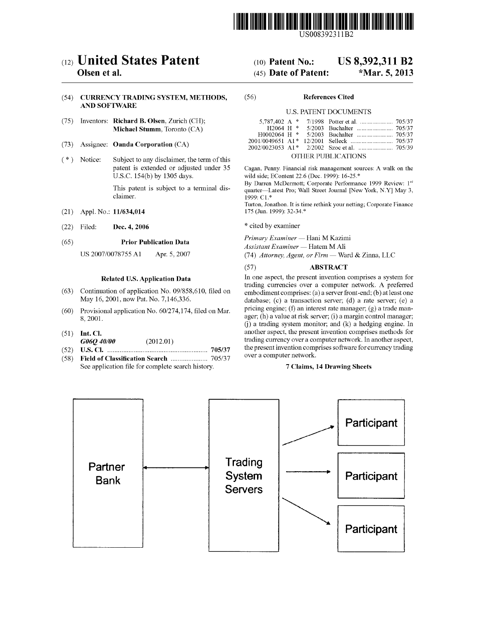

US008392311B2

## c12) **United States Patent**

### **Olsen et al.**

### (54) **CURRENCY TRADING SYSTEM, METHODS, AND SOFTWARE**

- (75) Inventors: **Richard B. Olsen,** Zurich (CH); **Michael Stumm,** Toronto (CA)
- (73) Assignee: **Oanda Corporation** (CA)
- $(*)$  Notice: Subject to any disclaimer, the term of this patent is extended or adjusted under 35 U.S.C. 154(b) by 1305 days.

This patent is subject to a terminal disclaimer.

- (21) Appl. No.: **11/634,014**
- (22) Filed: **Dec. 4, 2006**

### (65) **Prior Publication Data**

US 2007/0078755 Al Apr. 5, 2007

### **Related U.S. Application Data**

- (63) Continuation of application No. 09/858,610, filed on May 16, 2001, now Pat. No. 7,146,336.
- (60) Provisional application No. 60/274,174, filed on Mar. 8, 2001.
- (51) **Int. Cl.**
- *G06Q 40100* (2012.01)
- (52) **U.S. Cl.** ......................................................... **705/37**
- ( 58) **Field of Classification Search** . ... ... ... ... .. ... ... 705/3 7 See application file for complete search history.

## (IO) **Patent No.: US 8,392,311 B2**

### (45) **Date of Patent: \*Mar. 5, 2013**

#### (56) **References Cited**

### U.S. PATENT DOCUMENTS

|  |  | OTHER PUBLICATIONS |  |
|--|--|--------------------|--|

Cagan, Penny. Financial risk management sources: A walk on the wild side; EContent 22.6 (Dec. 1999): 16-25.\*

By Darren McDermott; Corporate Performance 1999 Review: 1st quarter-Latest Pro; Wall Street Journal [New York, **N.Y]** May 3,  $1999: C1.*$ 

Turton, Jonathon. It is time rethink your netting; Corporate Finance 175 (Jun. 1999): 32-34.\*

\* cited by examiner

*Primary Examiner* - Hani M Kazimi

 $\Lambda$ ssistant Examiner - Hatem M Ali

(74) *Attorney, Agent, or Firm* - Ward & Zinna, LLC

### (57) **ABSTRACT**

In one aspect, the present invention comprises a system for trading currencies over a computer network. A preferred embodiment comprises: (a) a server front-end; (b) at least one database;  $(c)$  a transaction server;  $(d)$  a rate server;  $(e)$  a pricing engine; (f) an interest rate manager; (g) a trade manager; (h) a value at risk server; (i) a margin control manager; G) a trading system monitor; and (k) a hedging engine. In another aspect, the present invention comprises methods for trading currency over a computer network. In another aspect, the present invention comprises software for currency trading over a computer network.

### **7 Claims, 14 Drawing Sheets**

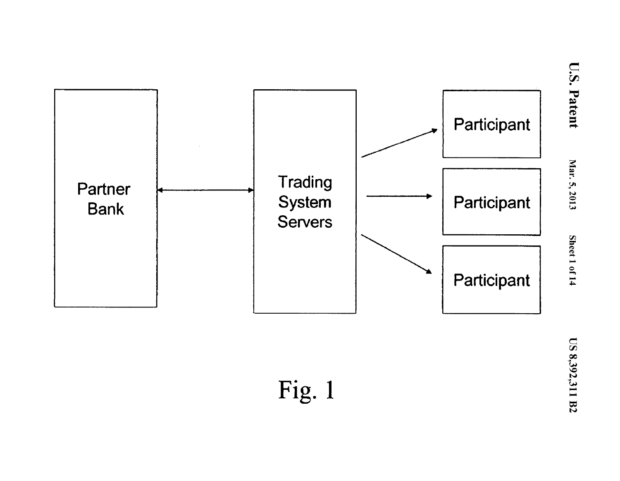

**US 8,392,311 B2**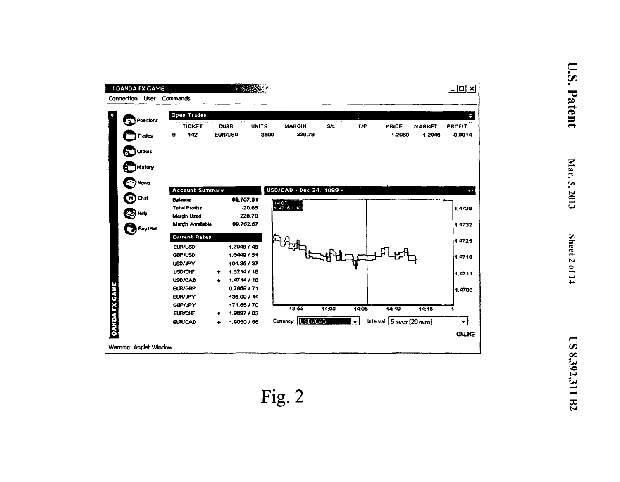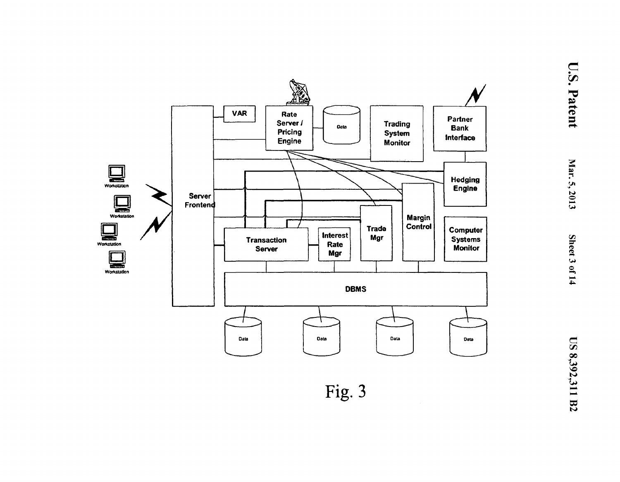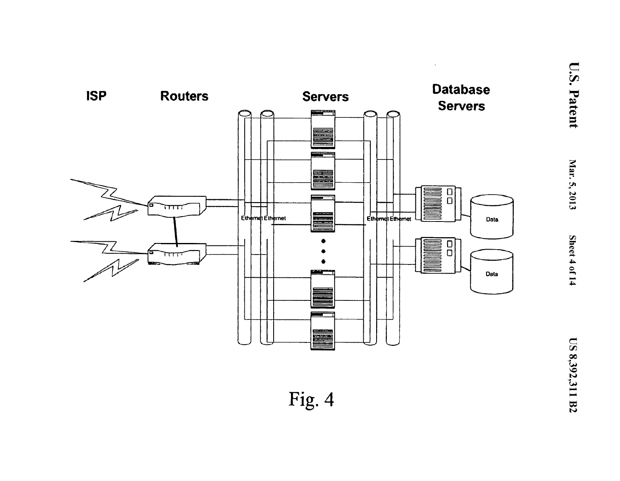

 $\sim$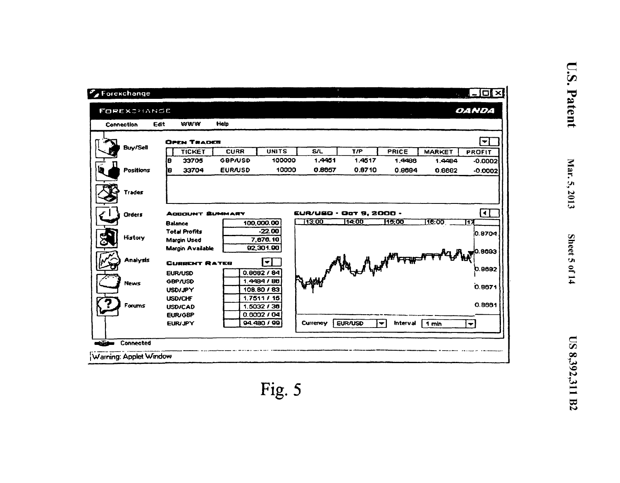| Connection    | Edit<br>www          | Help           |              |                                           |                |                                 |               |                        |
|---------------|----------------------|----------------|--------------|-------------------------------------------|----------------|---------------------------------|---------------|------------------------|
|               |                      |                |              |                                           |                |                                 |               |                        |
|               | <b>OPEN TRADEB</b>   |                |              |                                           |                |                                 |               | $\checkmark$           |
| Buy/Sell      | <b>TICKET</b>        | <b>CURR</b>    | <b>UNITS</b> | <b>S/L</b>                                | T/P            | PRICE                           | <b>MARKET</b> | <b>PROFIT</b>          |
|               | 33705<br>IВ          | <b>GBP/USD</b> | 100000       | 1.4451                                    | 1.4517         | 1.4486                          | 1.4484        | $-0.0002$              |
| Positions     | 33704<br>İΒ          | <b>EUR/USD</b> | 10000        | 0.8657                                    | 0.8710         | 0.8684                          | 0.8682        | -0.00021               |
|               |                      |                |              |                                           |                |                                 |               |                        |
| <b>Trades</b> |                      |                |              |                                           |                |                                 |               |                        |
| <b>Orders</b> | ACCOUNT SUMMARY      |                |              | <b>EUR/USD · Oat 9, 2000 ·</b>            |                |                                 |               | R                      |
|               | <b>Balance</b>       |                | 100,000.00   | 13:00                                     | 14:00          | 15:00                           | 116:00        | 117                    |
|               | <b>Total Profits</b> |                | $-22.00$     |                                           |                |                                 |               | 10.8704                |
| History       | <b>Margin Used</b>   |                | 7,676.10     |                                           |                |                                 |               |                        |
|               | Margin Available     |                | 02,301.00    |                                           |                |                                 |               |                        |
| Analysis      | <b>CURRENT RATES</b> |                | ▼            | Repair of the of your process of the coss |                |                                 |               |                        |
|               | <b>EUR/USD</b>       |                | 0.8682 / 84  |                                           |                |                                 |               |                        |
| <b>News</b>   | GBP/USD              |                | 1,4484/86    |                                           |                |                                 |               |                        |
|               | <b>USD/JPY</b>       |                | 108.80 / 83  |                                           |                |                                 |               |                        |
|               | <b>USD/CHF</b>       |                | 1.7511/15    |                                           |                |                                 |               |                        |
| Forums        | <b>USD/CAD</b>       |                | 1.5032 / 36  |                                           |                |                                 |               | 0.8661                 |
|               | EUR/GBP              |                | 0.6002/04    |                                           |                |                                 |               |                        |
|               | <b>EUR/JPY</b>       |                | 94.480 / 99  | Currency                                  | <b>EUR/USD</b> | <b>Interval</b><br>$\mathbf{v}$ | 1 min         | $\left  \cdot \right $ |

U.S. Patent

Mar. 5, 2013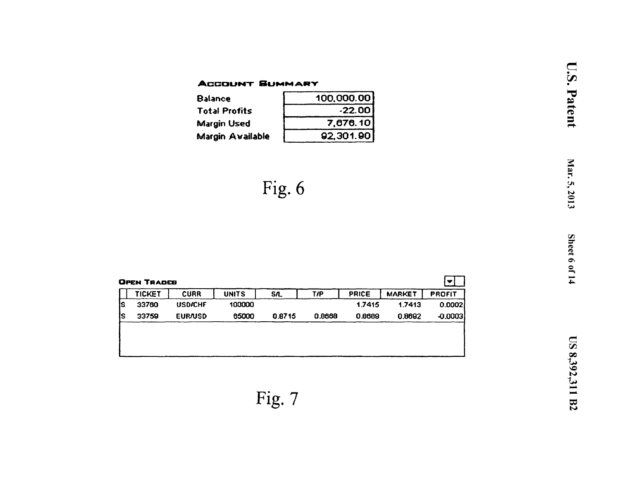## **ACCOUNT SUMMARY**

| <b>Balance</b>          | 100,000.00 |
|-------------------------|------------|
| <b>Total Profits</b>    | $-22.00$   |
| <b>Margin Used</b>      | 7,676.10   |
| <b>Margin Available</b> | 92,301.90  |

$$
Fig. 6
$$

|    | TICKET | <b>CURR</b>    | <b>UNITS</b> | <b>S/L</b> | T/P    | PRICE  | <b>MARKET</b> | <b>PROFIT</b> |
|----|--------|----------------|--------------|------------|--------|--------|---------------|---------------|
| IS | 33760  | <b>USD/CHF</b> | 100000       |            |        | 1.7415 | 1.7413        | 0.0002        |
| lS | 33759  | <b>EUR/USD</b> | 65000        | 0.8715     | 0.8668 | 0.8689 | 0.8692        | $-0.0003$     |
|    |        |                |              |            |        |        |               |               |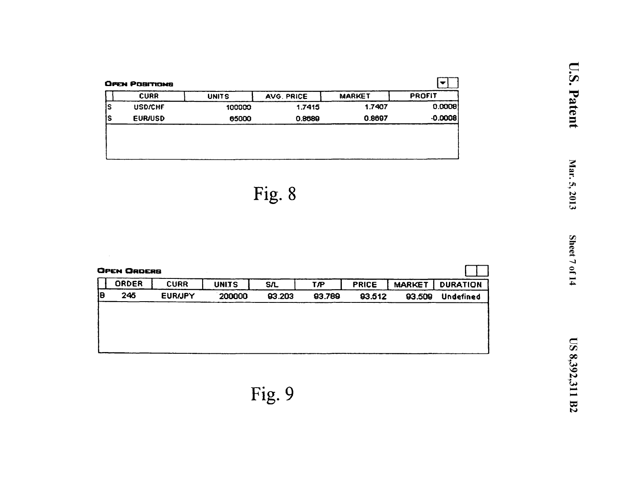| <b>CURR</b>    | <b>UNITS</b> | AVG. PRICE | <b>MARKET</b> | <b>PROFIT</b> |
|----------------|--------------|------------|---------------|---------------|
| <b>USD/CHF</b> | 100000       | 1.7415     | 1.7407        | 0.0008        |
| <b>EUR/USD</b> | 65000        | 0.8689     | 0.8697        | $-0.0008$     |

|    | <b>OPEN ORDERS</b> |                |              |            |        |              |               |                  |
|----|--------------------|----------------|--------------|------------|--------|--------------|---------------|------------------|
|    | ORDER              | <b>CURR</b>    | <b>UNITS</b> | <b>S/L</b> | T⁄P    | <b>PRICE</b> | <b>MARKET</b> | <b>DURATION</b>  |
| lθ | 245                | <b>EURIJPY</b> | 200000       | 93.203     | 93.789 | 93.512       | 93.509        | <b>Undefined</b> |
|    |                    |                |              |            |        |              |               |                  |
|    |                    |                |              |            |        |              |               |                  |
|    |                    |                |              |            |        |              |               |                  |
|    |                    |                |              |            |        |              |               |                  |
|    |                    |                |              |            |        |              |               |                  |

Fig. 9

U.S. Patent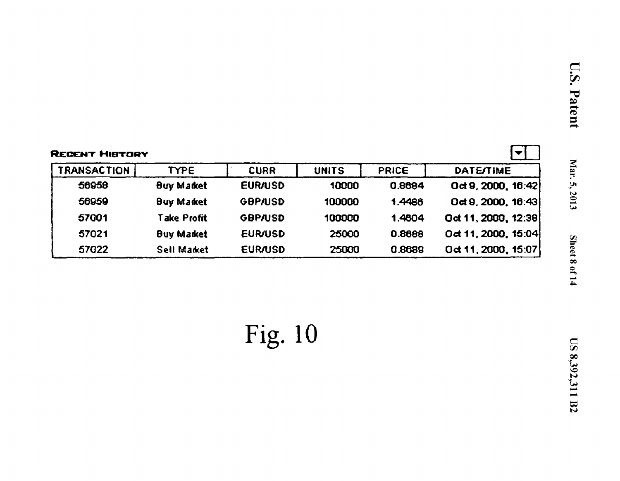|                    | <b>RECENT HISTORY</b> |                |              |              |                       |  |  |
|--------------------|-----------------------|----------------|--------------|--------------|-----------------------|--|--|
| <b>TRANSACTION</b> | TYPE.                 | <b>CURR</b>    | <b>UNITS</b> | <b>PRICE</b> | <b>DATE/TIME</b>      |  |  |
| 56958              | <b>Buy Market</b>     | <b>EUR/USD</b> | 10000        | 0.8684       | Oct 9, 2000, $16:42$  |  |  |
| 56959              | <b>Buy Market</b>     | <b>GBP/USD</b> | 100000       | 1.4486       | $0$ ct 9, 2000, 16:43 |  |  |
| 57001              | <b>Take Profit</b>    | <b>GBP/USD</b> | 100000       | 1.4604       | Oct 11, 2000, 12:38   |  |  |
| 57021              | <b>Buy Market</b>     | <b>EUR/USD</b> | 25000        | 0.8688       | Oct 11, 2000, 15:04   |  |  |
| 57022              | Sell Market           | <b>EUR/USD</b> | 25000        | 0.8689       | Oct 11, 2000, 15:07   |  |  |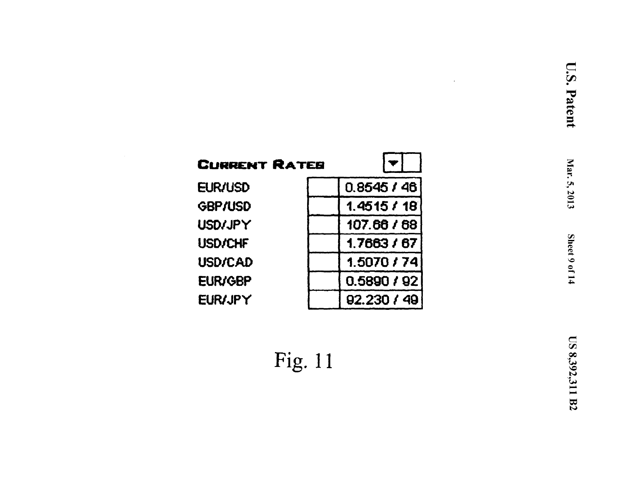$\ddot{\phantom{0}}$ 

| <b>CURRENT RATES</b> |             |
|----------------------|-------------|
| <b>EUR/USD</b>       | 0.8545/46   |
| <b>GBP/USD</b>       | 1.4515 / 18 |
| <b>USD/JPY</b>       | 107.66 / 68 |
| <b>USD/CHF</b>       | 1.7663 / 67 |
| <b>USD/CAD</b>       | 1.5070/74   |
| <b>EUR/GBP</b>       | 0.5890 / 92 |
| <b>EUR/JPY</b>       | 92.230 / 49 |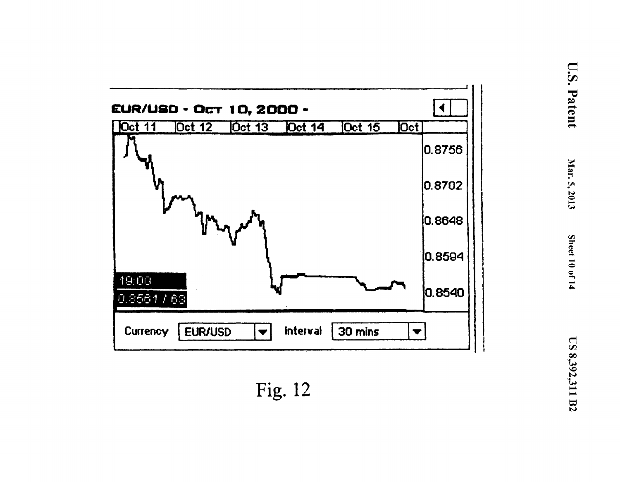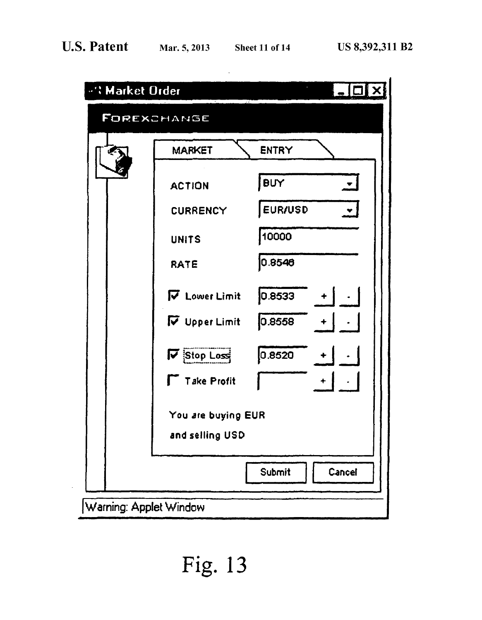$\bar{z}$ 

| <b>"': Market Order</b> |                    |                     |
|-------------------------|--------------------|---------------------|
|                         | FOREXCHANGE        |                     |
|                         | <b>MARKET</b>      | <b>ENTRY</b>        |
|                         | <b>ACTION</b>      | BUY<br>ᅬ            |
|                         | CURRENCY           | <b>EUR/USD</b><br>ᆋ |
|                         | <b>UNITS</b>       | 10000               |
|                         | RATE               | 0.8546              |
|                         | V Lower Limit      | 0.8533<br>$+$       |
|                         | V Upper Limit      | 0.8558              |
|                         | $\nabla$ Stop Loss | 0.8520              |
|                         | $\top$ Take Profit |                     |
|                         | You are buying EUR |                     |
|                         | and selling USD    |                     |
|                         |                    | Cancel<br>Submit    |
| Warning: Applet Window  |                    |                     |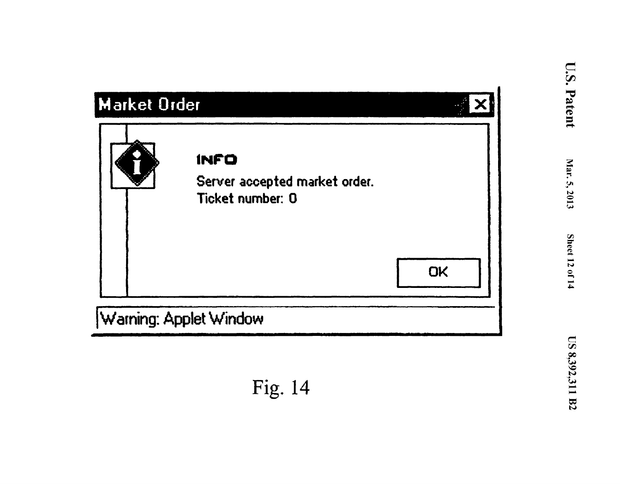## **Market Order**

|  | <b>INFO</b><br>Server accepted market order.<br>Ticket number: 0 |    |
|--|------------------------------------------------------------------|----|
|  |                                                                  | OK |

Warning: Applet Window

# Fig. 14

÷.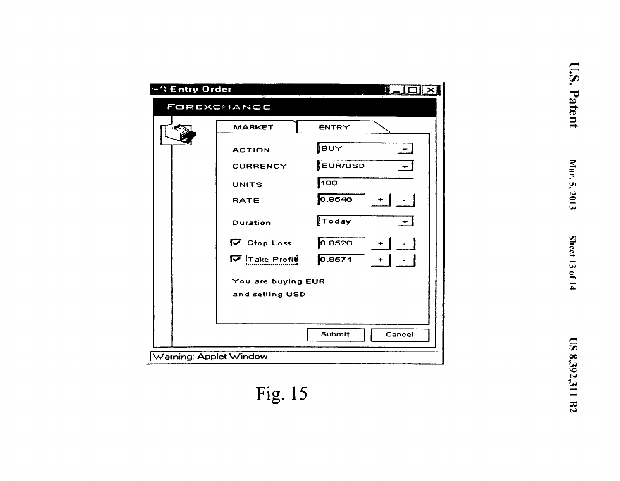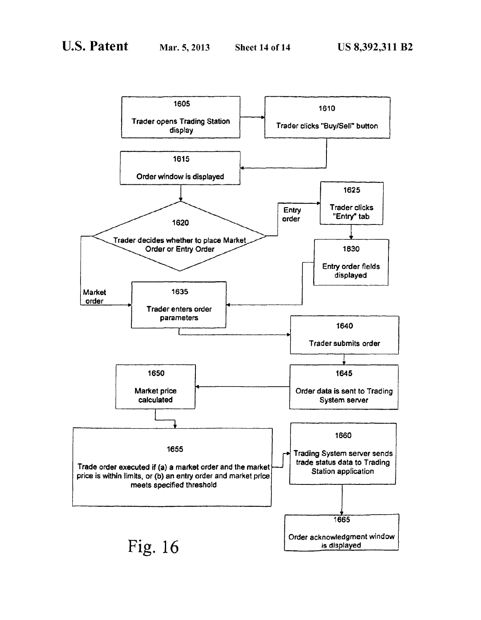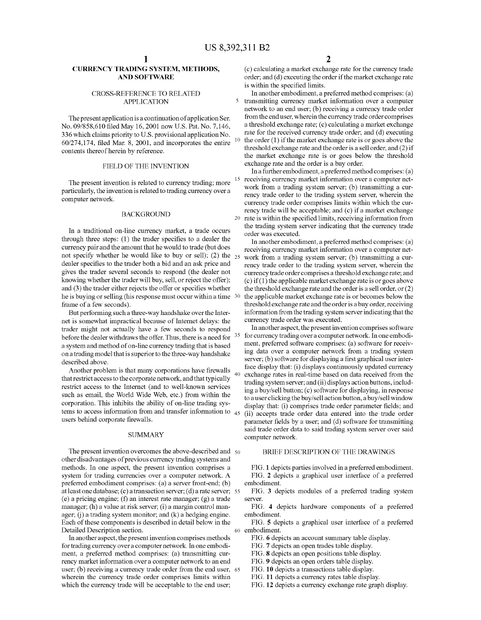### **CURRENCY TRADING SYSTEM, METHODS, AND SOFTWARE**

### CROSS-REFERENCE TO RELATED APPLICATION

The present application is a continuation of application Ser. No. 09/858,610 filed May 16, 2001 now U.S. Pat. No. 7,146, 336 which claims priority to U.S. provisional application No. 60/274,174, filed Mar. 8, 2001, and incorporates the entire contents thereof herein by reference.

### FIELD OF THE INVENTION

The present invention is related to currency trading; more particularly, the invention is related to trading currency over a computer network.

### BACKGROUND

In a traditional on-line currency market, a trade occurs through three steps: (1) the trader specifies to a dealer the currency pair and the amount that he would to trade (but does not specify whether he would like to buy or sell); (2) the  $_{25}$ dealer specifies to the trader both a bid and an ask price and gives the trader several seconds to respond (the dealer not knowing whether the trader will buy, sell, or reject the offer); and (3) the trader either rejects the offer or specifies whether he is buying or selling (his response must occur within a time frame of a few seconds).

But performing such a three-way handshake over the Internet is somewhat impractical because of Internet delays: the trader might not actually have a few seconds to respond before the dealer withdraws the offer. Thus, there is a need for <sup>35</sup> a system and method of on-line currency trading that is based on a trading model that is superior to the three-way handshake described above.

Another problem is that many corporations have firewalls that restrict access to the corporate network, and that typically restrict access to the Internet (and to well-known services such as email, the World Wide Web, etc.) from within the corporation. This inhibits the ability of on-line trading systems to access information from and transfer information to  $_{45}$ users behind corporate firewalls.

#### **SUMMARY**

The present invention overcomes the above-described and  $50$ other disadvantages of previous currency trading systems and methods. In one aspect, the present invention comprises a system for trading currencies over a computer network. A preferred embodiment comprises: (a) a server front-end; (b) at least one database; (c) a transaction server; (d) a rate server; 55 (e) a pricing engine; (f) an interest rate manager; (g) a trade manager; (h) a value at risk server; (i) a margin control manager;  $(i)$  a trading system monitor; and  $(k)$  a hedging engine. Each of these components is described in detail below in the Detailed Description section.

In another aspect, the present invention comprises methods for trading currency over a computer network. In one embodiment, a preferred method comprises: (a) transmitting currency market information over a computer network to an end user; (b) receiving a currency trade order from the end user, 65 wherein the currency trade order comprises limits within which the currency trade will be acceptable to the end user;

( c) calculating a market exchange rate for the currency trade order; and (d) executing the order if the market exchange rate is within the specified limits.

In another embodiment, a preferred method comprises: (a) 5 transmitting currency market information over a computer network to an end user; (b) receiving a currency trade order from the end user, wherein the currency trade order comprises a threshold exchange rate; (c) calculating a market exchange rate for the received currency trade order; and (d) executing the order  $(1)$  if the market exchange rate is or goes above the threshold exchange rate and the order is a sell order, and (2) if the market exchange rate is or goes below the threshold exchange rate and the order is a buy order.

In a further embodiment, a preferred method comprises: (a) receiving currency market information over a computer network from a trading system server; (b) transmitting a currency trade order to the trading system server, wherein the currency trade order comprises limits within which the currency trade will be acceptable; and (c) if a market exchange 20 rate is within the specified limits, receiving information from the trading system server indicating that the currency trade order was executed.

In another embodiment, a preferred method comprises: (a) receiving currency market information over a computer network from a trading system server; (b) transmitting a currency trade order to the trading system server, wherein the currency trade order comprises a threshold exchange rate; and (c) if  $(1)$  the applicable market exchange rate is or goes above the threshold exchange rate and the order is a sell order, or (2) the applicable market exchange rate is or becomes below the threshold exchange rate and the order is a buy order, receiving information from the trading system server indicating that the currency trade order was executed.

In another aspect, the present invention comprises software for currency trading over a computer network. In one embodiment, preferred software comprises: (a) software for receiving data over a computer network from a trading system server; (b) software for displaying a first graphical user interface display that: (i) displays continuously updated currency exchange rates in real-time based on data received from the trading system server; and (ii) displays action buttons, including a buy/sell button; (c) software for displaying, in response to a user clicking the buy/sell action button, a buy/sell window display that: (i) comprises trade order parameter fields; and (ii) accepts trade order data entered into the trade order parameter fields by a user; and (d) software for transmitting said trade order data to said trading system server over said computer network.

### BRIEF DESCRIPTION OF THE DRAWINGS

FIG. **1** depicts parties involved in a preferred embodiment. FIG. **2** depicts a graphical user interface of a preferred embodiment.

FIG. **3** depicts modules of a preferred trading system server.

FIG. **4** depicts hardware components of a preferred embodiment.

FIG. **5** depicts a graphical user interface of a preferred

- FIG. **6** depicts an account summary table display.
- FIG. **7** depicts an open trades table display.

FIG. **8** depicts an open positions table display.

- FIG. **9** depicts an open orders table display.
- FIG. **10** depicts a transactions table display.
- FIG. **11** depicts a currency rates table display.
- FIG. **12** depicts a currency exchange rate graph display.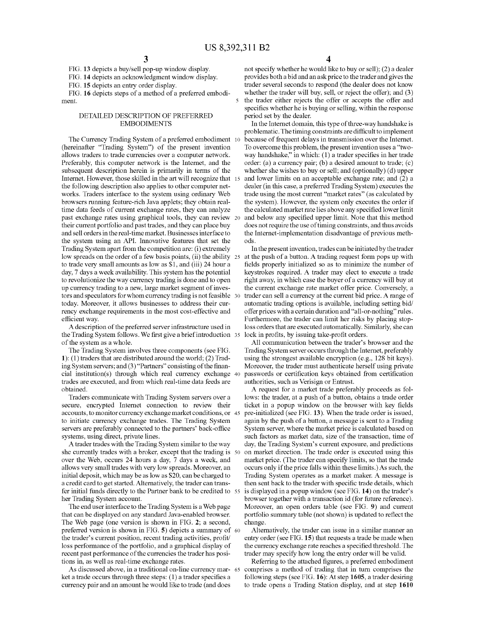FIG. **13** depicts a buy/sell pop-up window display.

FIG. **14** depicts an acknowledgment window display.

FIG. **15** depicts an entry order display.

ment.

### DETAILED DESCRIPTION OF PREFERRED EMBODIMENTS

(hereinafter "Trading System") of the present invention allows traders to trade currencies over a computer network. Preferably, this computer network is the Internet, and the subsequent description herein is primarily in terms of the Internet. However, those skilled in the art will recognize that 15 the following description also applies to other computer networks. Traders interface to the system using ordinary Web browsers running feature-rich Java applets; they obtain realtime data feeds of current exchange rates, they can analyze past exchange rates using graphical tools, they can review their current portfolio and past trades, and they can place buy and sell orders in the real-time market. Businesses interface to the system using an APL Innovative features that set the Trading System apart from the competition are: (i) extremely low spreads on the order of a few basis points, (ii) the ability 25 at the push of a button. A trading request form pops up with to trade very small amounts as low as \$1, and (iii) 24 hour a day, 7 days a week availability. This system has the potential to revolutionize the way currency trading is done and to open up currency trading to a new, large market segment of investors and speculators for whom currency trading is not feasible 30 today. Moreover, it allows businesses to address their currency exchange requirements in the most cost-effective and efficient way.

A description of the preferred server infrastructure used in the Trading System follows. We first give a briefintroduction 35 of the system as a whole. All communication between the trader's browser and the

The Trading System involves three components (see FIG. **1):** (1) traders that are distributed around the world; (2) Trading System servers; and (3) "Partners" consisting of the financial institution(s) through which real currency exchange 40 trades are executed, and from which real-time data feeds are obtained.

Traders communicate with Trading System servers over a secure, encrypted Internet connection to review their accounts, to monitor currency exchange market conditions, or to initiate currency exchange trades. The Trading System servers are preferably connected to the partners' back-office systems, using direct, private lines.

A trader trades with the Trading System similar to the way she currently trades with a broker, except that the trading is 50 over the Web, occurs 24 hours a day, 7 days a week, and allows very small trades with very low spreads. Moreover, an initial deposit, which may be as low as \$20, can be charged to a credit card to get started. Alternatively, the trader can transfer initial funds directly to the Partner bank to be credited to her Trading System account.

The end user interface to the Trading System is a Web page that can be displayed on any standard Java-enabled browser. The Web page (one version is shown in FIG. **2;** a second, preferred version is shown in FIG. **5)** depicts a summary of 60 the trader's current position, recent trading activities, profit/ loss performance of the portfolio, and a graphical display of recent past performance of the currencies the trader has positions in, as well as real-time exchange rates.

As discussed above, in a traditional on-line currency mar- 65 ket a trade occurs through three steps: (1) a trader specifies a currency pair and an amount he would like to trade ( and does

**4** 

not specify whether he would like to buy or sell); (2) a dealer provides both a bid and an ask price to the trader and gives the trader several seconds to respond (the dealer does not know FIG. **16** depicts steps of a method of a preferred embodi- whether the trader will buy, sell, or reject the offer); and (3) 5 the trader either rejects the offer or accepts the offer and specifies whether he is buying or selling, within the response period set by the dealer.

In the Internet domain, this type of three-way handshake is problematic. The timing constraints are difficult to implement The Currency Trading System of a preferred embodiment 10 because of frequent delays in transmission over the Internet. To overcome this problem, the present invention uses a "twoway handshake," in which: (1) a trader specifies in her trade order: (a) a currency pair; (b) a desired amount to trade;  $(c)$ whether she wishes to buy or sell; and (optionally) (d) upper and lower limits on an acceptable exchange rate; and (2) a dealer (in this case, a preferred Trading System) executes the trade using the most current "market rates" (as calculated by the system). However, the system only executes the order if the calculated market rate lies above any specified lower limit and below any specified upper limit. Note that this method does not require the use of timing constraints, and thus avoids the Internet-implementation disadvantage of previous methods.

> In the present invention, trades can be initiated by the trader fields properly initialized so as to minimize the number of keystrokes required. A trader may elect to execute a trade right away, in which case the buyer of a currency will buy at the current exchange rate market offer price. Conversely, a trader can sell a currency at the current bid price. A range of automatic trading options is available, including setting bid/ offer prices with a certain duration and "all-or-nothing" rules. Furthermore, the trader can limit her risks by placing stoploss orders that are executed automatically. Similarly, she can lock in profits, by issuing take-profit orders.

> Trading System server occurs through the Internet, preferably using the strongest available encryption (e.g., 128 bit keys). Moreover, the trader must authenticate herself using private passwords or certification keys obtained from certification authorities, such as Verisign or Entrust.

> A request for a market trade preferably proceeds as follows: the trader, at a push of a button, obtains a trade order ticket in a popup window on the browser with key fields pre-initialized (see FIG. 13). When the trade order is issued, again by the push of a button, a message is sent to a Trading System server, where the market price is calculated based on such factors as market data, size of the transaction, time of day, the Trading System's current exposure, and predictions on market direction. The trade order is executed using this market price. (The trader can specify limits, so that the trade occurs only if the price falls within these limits.) As such, the Trading System operates as a market maker. A message is then sent back to the trader with specific trade details, which 55 is displayed in a popup window (see FIG. **14)** on the trader's browser together with a transaction id (for future reference). Moreover, an open orders table (see FIG. **9)** and current portfolio summary table (not shown) is updated to reflect the change.

> Alternatively, the trader can issue in a similar manner an entry order (see FIG. **15)** that requests a trade be made when the currency exchange rate reaches a specified threshold. The trader may specify how long the entry order will be valid.

> Referring to the attached figures, a preferred embodiment comprises a method of trading that in turn comprises the following steps (see FIG. **16):** At step **1605,** a trader desiring to trade opens a Trading Station display, and at step **1610**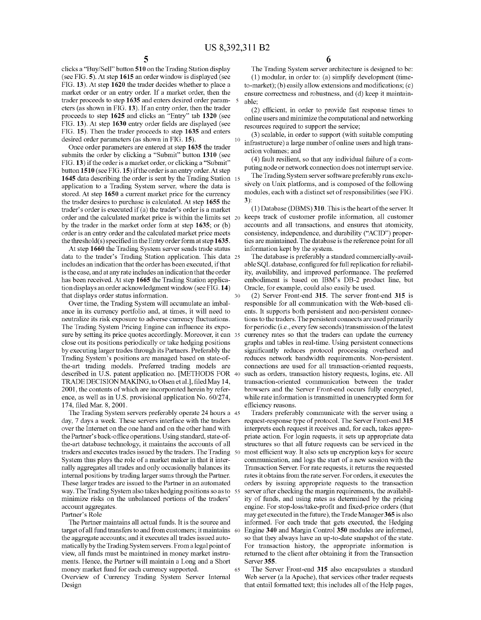clicks a "Buy/Sell" button **510** on the Trading Station display (see FIG. **5).** At step **1615** an order window is displayed (see FIG. **13).** At step **1620** the trader decides whether to place a market order or an entry order. If a market order, then the trader proceeds to step **1635** and enters desired order parameters (as shown in FIG. **13).** If an entry order, then the trader proceeds to step **1625** and clicks an "Entry" tab **1320** (see FIG. **13).** At step **1630** entry order fields are displayed (see FIG. **15).** Then the trader proceeds to step **1635** and enters desired order parameters (as shown in FIG. **15).** 

Once order parameters are entered at step 1635 the trader action volumes; and  $\frac{1}{2}$ submits the order by clicking a "Submit" button **1310** (see FIG. **13)** if the order is a market order, or clicking a "Submit" button **1510** (see FIG. **15)** if the order is an entry order.At step **1645** data describing the order is sent by the Trading Station 15 application to a Trading System server, where the data is stored. At step **1650** a current market price for the currency the trader desires to purchase is calculated. At step **1655** the trader's order is executed if (a) the trader's order is a market order and the calculated market price is within the limits set 20 keeps track of customer profile information, all customer by the trader in the market order form at step **1635;** or (b) order is an entry order and the calculated market price meets the threshold( s) specified in the Entry order form at step **1635.** 

At step **1660** the Trading System server sends trade status data to the trader's Trading Station application. This data 25 includes an indication that the order has been executed, if that is the case, and at any rate includes an indication that the order has been received. At step **1665** the Trading Station application displays an order acknowledgment window (see **FIG.14)**  that displays order status information.

Over time, the Trading System will accumulate an imbalance in its currency portfolio and, at times, it will need to neutralize its risk exposure to adverse currency fluctuations. The Trading System Pricing Engine can influence its exposure by setting its price quotes accordingly. Moreover, it can 35 close out its positions periodically or take hedging positions by executing larger trades through its Partners. Preferably the Trading System's positions are managed based on state-ofthe-art trading models. Preferred trading models are described in U.S. patent application no. [METHODS FOR TRADE DECISION MAKING, to Olsen et al.], filed May 14, 2001, the contents of which are incorporated herein by reference, as well as in U.S. provisional application No. 60/274, 174, filed Mar. 8, 2001.

The Trading System servers preferably operate 24 hours a 45 day, 7 days a week. These servers interface with the traders over the Internet on the one hand and on the other hand with the Partner's back-office operations.Using standard, state-ofthe-art database technology, it maintains the accounts of all traders and executes trades issued by the traders. The Trading System thus plays the role of a market maker in that it internally aggregates all trades and only occasionally balances its internal positions by trading larger sums through the Partner. These larger trades are issued to the Partner in an automated way. The Trading System also takes hedging positions so as to minimize risks on the unbalanced portions of the traders' account aggregates.

Partner's Role

The Partner maintains all actual funds. It is the source and target of all fund transfers to and from customers; it maintains 60 the aggregate accounts; and it executes all trades issued automatically by the Trading System servers. From a legal point of view, all funds must be maintained in money market instruments. Hence, the Partner will maintain a Long and a Short money market fund for each currency supported. Overview of Currency Trading System Server Internal Design

The Trading System server architecture is designed to be: (1) modular, in order to: (a) simplify development (timeto-market); (b) easily allow extensions and modifications; (c) ensure correctness and robustness, and (d) keep it maintain*s* able;

(2) efficient, in order to provide fast response times to online users and minimize the computational and networking resources required to support the service;

(3) scalable, in order to support (with suitable computing infrastructure) a large number of online users and high trans-

( 4) fault resilient, so that any individual failure of a computing node or network connection does not interrupt service.

The Trading System server software preferably runs exclusively on Unix platforms, and is composed of the following modules, each with a distinct set of responsibilities (see FIG. **3):** 

(1) Database (DBMS) **310.** This is the heart of the server. It accounts and all transactions, and ensures that atomicity, consistency, independence, and durability ("ACID") properties are maintained. The database is the reference point for all information kept by the system.

The database is preferably a standard commercially-available SQL database, configured for full replication for reliability, availability, and improved performance. The preferred embodiment is based on IBM's DB-2 product line, but Oracle, for example, could also easily be used.

30 (2) Server Front-end **315.** The server front-end **315** is responsible for all communication with the Web-based clients. It supports both persistent and non-persistent connections to the traders. The persistent connects are used primarily for periodic (i.e., every few seconds) transmission of the latest currency rates so that the traders can update the currency graphs and tables in real-time. Using persistent connections significantly reduces protocol processing overhead and reduces network bandwidth requirements. Non-persistent. connections are used for all transaction-oriented requests, such as orders, transaction history requests, logins, etc. All transaction-oriented communication between the trader browsers and the Server Front-end occurs fully encrypted, while rate information is transmitted in unencrypted form for efficiency reasons.

Traders preferably communicate with the server using a request-response type of protocol. The Server Front-end **315**  interprets each request it receives and, for each, takes appropriate action. For login requests, it sets up appropriate data structures so that all future requests can be serviced in the most efficient way. It also sets up encryption keys for secure communication, and logs the start of a new session with the Transaction Server. For rate requests, it returns the requested rates it obtains from the rate server. For orders, it executes the orders by issuing appropriate requests to the transaction server after checking the margin requirements, the availability of funds, and using rates as determined by the pricing engine. For stop-loss/take-profit and fixed-price orders (that may get executed in the future), the Trade Manager **365** is also informed. For each trade that gets executed, the Hedging 60 Engine **340** and Margin Control **350** modules are informed, so that they always have an up-to-date snapshot of the state. For transaction history, the appropriate information is returned to the client after obtaining it from the Transaction Server **355.** 

65 The Server Front-end **315** also encapsulates a standard Web server (a la Apache), that services other trader requests that entail formatted text; this includes all of the Help pages,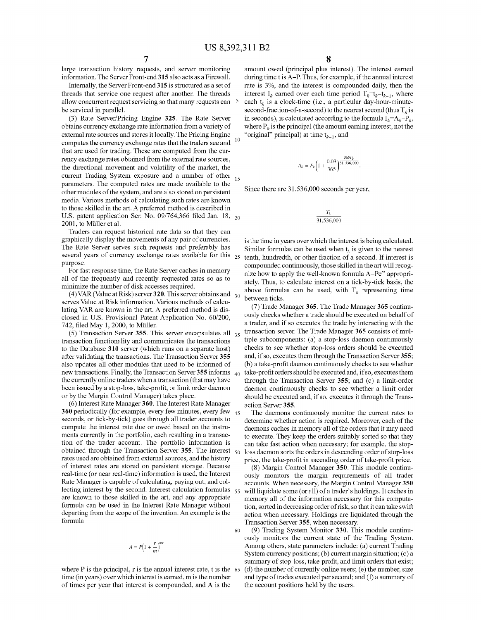large transaction history requests, and server monitoring information. The Server Front-end **315** also acts as a Firewall.

Internally, the Server Front-end315 is structured as a set of threads that service one request after another. The threads allow concurrent request servicing so that many requests can be serviced in parallel.

(3) Rate Server/Pricing Engine **325.** The Rate Server obtains currency exchange rate information from a variety of external rate sources and stores it locally. The Pricing Engine computes the currency exchange rates that the traders see and that are used for trading. These are computed from the currency exchange rates obtained from the external rate sources, the directional movement and volatility of the market, the current Trading System exposure and a number of other parameters. The computed rates are made available to the other modules of the system, and are also stored on persistent media. Various methods of calculating such rates are known to those skilled in the art. A preferred method is described in U.S. patent application Ser. No. 09/764,366 filed Jan. 18, 20 2001, to Müller et al.

Traders can request historical rate data so that they can graphically display the movements of any pair of currencies. The Rate Server serves such requests and preferably has several years of currency exchange rates available for this 25 purpose.

For fast response time, the Rate Server caches in memory all of the frequently and recently requested rates so as to minimize the number of disk accesses required.

serves Value at Risk information. Various methods of calculating VAR are known in the art. A preferred method is disclosed in U.S. Provisional Patent Application No. 60/200, 742, filed May 1, 2000, to Muller.

(5) Transaction Server **355.** This server encapsulates all transaction functionality and communicates the transactions to the Database **310** server (which runs on a separate host) after validating the transactions. The Transaction Server **355**  also updates all other modules that need to be informed of new transactions. Finally, the Transaction Server **355** informs the currently online traders when a transaction (that may have been issued by a stop-loss, take-profit, or limit order daemon or by the Margin Control Manager) takes place.

(6) Interest Rate Manager **360.** The Interest Rate Manager **360** periodically (for example, every few minutes, every few 45 seconds, or tick-by-tick) goes through all trader accounts to compute the interest rate due or owed based on the instruments currently in the portfolio, each resulting in a transaction of the trader account. The portfolio information is obtained through the Transaction Server 355. The interest  $\epsilon_{00}$ rates used are obtained from external sources, and the history of interest rates are stored on persistent storage. Because real-time (or near real-time) information is used, the Interest Rate Manager is capable of calculating, paying out, and collecting interest by the second. Interest calculation formulas  $\frac{55}{25}$ are known to those skilled in the art, and any appropriate formula can be used in the Interest Rate Manager without departing from the scope of the invention. An example is the formula

$$
A = P\left(1 + \frac{r}{m}\right)^{mt}
$$

60

where P is the principal, r is the annual interest rate, t is the 65 time (in years) over which interest is earned, m is the number of times per year that interest is compounded, and A is the

amount owed (principal plus interest). The interest earned during time t is A-P. Thus, for example, if the annual interest rate is 3%, and the interest is compounded daily, then the interest  $I_k$  earned over each time period  $T_k=t_{k-1}$ , where each  $t_k$  is a clock-time (i.e., a particular day-hour-minutesecond-fraction-of-a-second) to the nearest second (thus  $T_k$  is in seconds), is calculated according to the formula  $I_k = A_k - P_k$ , where  $P_k$  is the principal (the amount earning interest, not the "original" principal) at time  $t_{k-1}$ , and

$$
A_k=P_k\bigg(1+\frac{0.03}{365}\bigg)^{\tfrac{365T_k}{31,536,000}}.
$$

Since there are 31,536,000 seconds per year,

$$
\frac{T_k}{31,536,000}
$$

is the time in years over which the interest is being calculated. Similar formulas can be used when  $t_k$  is given to the nearest tenth, hundredth, or other fraction of a second. If interest is compounded continuously, those skilled in the art will recognize how to apply the well-known formula *A=Per'* appropriately. Thus, to calculate interest on a tick-by-tick basis, the above formulas can be used, with  $T_k$  representing time (4) VAR (Value at Risk) server **320**. This server obtains and  $T_{30}$  to the server of the server of the server integrals of the server integrals of the server serve between ticks.

> (7) Trade Manager **365.** The Trade Manager **365** continuously checks whether a trade should be executed on behalf of a trader, and if so executes the trade by interacting with the 35 transaction server. The Trade Manager **365** consists of multiple subcomponents: (a) a stop-loss daemon continuously checks to see whether stop-loss orders should be executed and, if so, executes them through the Transaction Server **355;**  (b) a take-profit daemon continuously checks to see whether take-profit orders should be executed and, if so, executes them through the Transaction Server **355;** and (c) a limit-order daemon continuously checks to see whether a limit order should be executed and, if so, executes it through the Trans action Server **355.**

> The daemons continuously monitor the current rates to determine whether action is required. Moreover, each of the daemons caches in memory all of the orders that it may need to execute. They keep the orders suitably sorted so that they can take fast action when necessary; for example, the stoploss daemon sorts the orders in descending order of stop-loss price, the take-profit in ascending order of take-profit price.

> (8) Margin Control Manager **350.** This module continuously monitors the margin requirements of all trader accounts. When necessary, the Margin Control Manager **350**  will liquidate some (or all) of a trader's holdings. It caches in memory all of the information necessary for this computation, sorted in decreasing order of risk, so that it can take swift action when necessary. Holdings are liquidated through the Transaction Server **355,** when necessary.

> (9) Trading System Monitor **330.** This module continuously monitors the current state of the Trading System. Among others, state parameters include: (a) current Trading System currency positions;  $(b)$  current margin situation;  $(c)$  a summary of stop-loss, take-profit, and limit orders that exist;  $(d)$  the number of currently online users;  $(e)$  the number, size and type of trades executed per second; and (f) a summary of the account positions held by the users.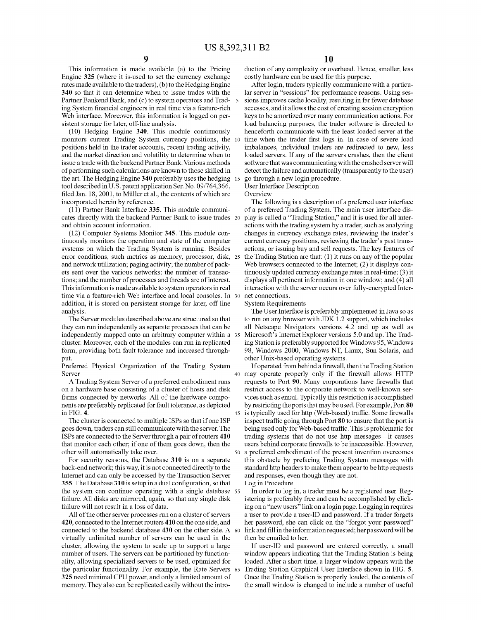This information is made available (a) to the Pricing Engine **325** (where it is-used to set the currency exchange rates made available to the traders), (b) to the Hedging Engine **340** so that it can determine when to issue trades with the Partner Bankend Bank, and (c) to system operators and Trad-5 ing System financial engineers in real time via a feature-rich Web interface. Moreover, this information is logged on persistent storage for later, off-line analysis.

monitors current Trading System currency positions, the 10 positions held in the trader accounts, recent trading activity, and the market direction and volatility to determine when to issue a trade with the backend Partner Bank. Various methods of performing such calculations are known to those skilled in detect the failure and automatically (transparently to the user) the art. The Hedging Engine **340** preferably uses the hedging tool described in U.S. patent application Ser. No. 09/764,366, filed Jan. 18, 2001, to Muller et al., the contents of which are incorporated herein by reference.

(11) Partner Bank Interface **335.** This module communicates directly with the backend Partner Bank to issue trades and obtain account information.

(12) Computer Systems Monitor **345.** This module continuously monitors the operation and state of the computer systems on which the Trading System is running. Besides error conditions, such metrics as memory, processor, disk, and network utilization; paging activity; the number of packets sent over the various networks; the number of transactions; and the number of processes and threads are of interest. This information is made available to system operators in real time via a feature-rich Web interface and local consoles. In 30 net connections. addition, it is stored on persistent storage for later, off-line System Requirements analysis.

The Server modules described above are structured so that they can run independently as separate processes that can be independently mapped onto an arbitrary computer within a cluster. Moreover, each of the modules can run in replicated form, providing both fault tolerance and increased throughput.

Preferred Physical Organization of the Trading System Server

A Trading System Server of a preferred embodiment runs on a hardware base consisting of a cluster of hosts and disk farms connected by networks. All of the hardware components are preferably replicated for fault tolerance, as depicted in FIG. **4.** 

The cluster is connected to multiple ISPs so that if one ISP goes down, traders can still communicate with the server. The ISPs are connected to the Server through a pair ofrouters **410**  that monitor each other; if one of them goes down, then the other will automatically take over.

For security reasons, the Database **310** is on a separate back-end network; this way, it is not connected directly to the Internet and can only be accessed by the Transaction Server **355.** The Database **310** is setup in a dual configuration, so that the system can continue operating with a single database 55 failure. All disks are mirrored, again, so that any single disk failure will not result in a loss of data.

All of the other server processes run on a cluster of servers **420,** connected to the Internet routers **410** on the one side, and connected to the backend database **430** on the other side. A 60 virtually unlimited number of servers can be used in the cluster, allowing the system to scale up to support a large number of users. The servers can be partitioned by functionality, allowing specialized servers to be used, optimized for the particular functionality. For example, the Rate Servers 65 **325** need minimal CPU power, and only a limited amount of memory. They also can be replicated easily without the intro-

duction of any complexity or overhead. Hence, smaller, less costly hardware can be used for this purpose.

After login, traders typically communicate with a particular server in "sessions" for performance reasons. Using ses-5 sions improves cache locality, resulting in far fewer database accesses, and it allows the cost of creating session encryption keys to be amortized over many communication actions. For load balancing purposes, the trader software is directed to (10) Hedging Engine **340.** This module continuously henceforth communicate with the least loaded server at the time when the trader first logs in. In case of severe load imbalances, individual traders are redirected to new, less loaded servers. If any of the servers crashes, then the client software that was communicating with the crashed server will 15 go through a new login procedure.

User Interface Description

**Overview** 

The following is a description of a preferred user interface of a preferred Trading System. The main user interface display is called a "Trading Station," and it is used for all interactions with the trading system by a trader, such as analyzing changes in currency exchange rates, reviewing the trader's current currency positions, reviewing the trader's past transactions, or issuing buy and sell requests. The key features of the Trading Station are that:  $(1)$  it runs on any of the popular Web browsers connected to the Internet; (2) it displays continuously updated currency exchange rates in real-time; (3) it displays all pertinent information in one window; and (4) all interaction with the server occurs over fully-encrypted Inter-

The User Interface is preferably implemented in Java so as to run on any browser with JDK 1.2 support, which includes all Netscape Navigators versions 4.2 and up as well as Microsoft's Internet Explorer versions 5.0 and up. The Trading Station is preferably supported for Windows 95, Windows 98, Windows 2000, Windows NT, Linux, Sun Solaris, and other Unix-based operating systems.

If operated from behind a firewall, then the Trading Station 40 may operate properly only if the firewall allows HTTP requests to Port **90.** Many corporations have firewalls that restrict access to the corporate network to well-known services such as email. Typically this restriction is accomplished by restricting the ports that may be used. For example, Port **80**  45 is typically used for http (Web-based) traffic. Some firewalls inspect traffic going through Port **80** to ensure that the port is being used only for Web-based traffic. This is problematic for trading systems that do not use http messages-it causes users behind corporate firewalls to be inaccessible. However, a preferred embodiment of the present invention overcomes this obstacle by prefacing Trading System messages with standard http headers to make them appear to be http requests and responses, even though they are not.

Log in Procedure

In order to log in, a trader must be a registered user. Registering is preferably free and can be accomplished by clicking on a "new users" link on a login page. Logging in requires a user to provide a user-ID and password. If a trader forgets her password, she can click on the "forgot your password" link and fill in the information requested; her password will be then be emailed to her.

If user-ID and password are entered correctly, a small window appears indicating that the Trading Station is being loaded. After a short time, a larger window appears with the Trading Station Graphical User Interface shown in FIG. **5.**  Once the Trading Station is properly loaded, the contents of the small window is changed to include a number of useful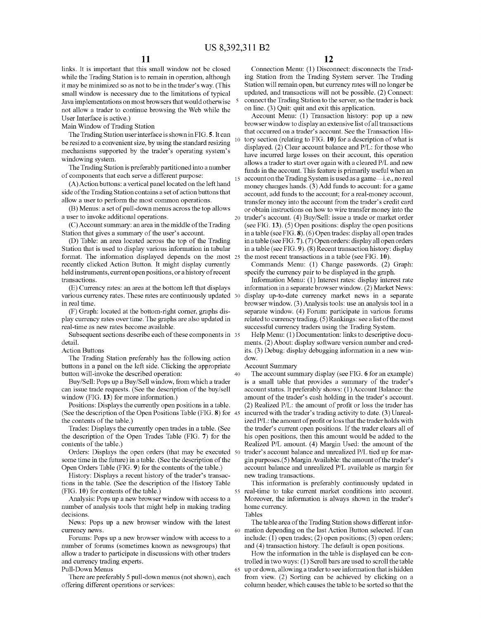links. It is important that this small window not be closed while the Trading Station is to remain in operation, although it may be minimized so as not to be in the trader's way. (This small window is necessary due to the limitations of typical Java implementations on most browsers that would otherwise <sup>5</sup> not allow a trader to continue browsing the Web while the User Interface is active.)

Main Window of Trading Station

The Trading Station user interface is shown in FIG. **5.** It can be resized to a convenient size, by using the standard resizing mechanisms supported by the trader's operating system's windowing system.

The Trading Station is preferably partitioned into a number

(A)Action buttons: a vertical panel located on the left hand side of the Trading Station contains a set of action buttons that allow a user to perform the most common operations.

(B) Menus: a set of pull-down menus across the top allows a user to invoke additional operations.

(C)Account summary: an area in the middle of the Trading

Station that gives a summary of the user's account.<br>(D) Table: an area located across the top of the Trading Station that is used to display various information in tabular format. The information displayed depends on the most 25 recently clicked Action Button. It might display currently held instruments, current open positions, or a history of recent transactions.

(E) Currency rates: an area at the bottom left that displays various currency rates. These rates are continuously updated 30 in real time.

(F) Graph: located at the bottom-right comer, graphs display currency rates over time. The graphs are also updated in real-time as new rates become available.

Subsequent sections describe each of these components in 35 detail.

Action Buttons

The Trading Station preferably has the following action buttons in a panel on the left side. Clicking the appropriate button will-invoke the described operation:

Buy/Sell: Pops up a Buy/Sell window, from which a trader can issue trade requests. (See the description of the buy/sell window (FIG. **13)** for more information.)

Positions: Displays the currently open positions in a table. (See the description of the Open Positions Table (FIG. **8)** for 45 the contents of the table.)

Trades: Displays the currently open trades in a table. (See the description of the Open Trades Table (FIG. **7)** for the contents of the table.)

Orders: Displays the open orders (that may be executed 50 some time in the future) in a table. (See the description of the Open Orders Table (FIG. **9)** for the contents of the table.)

History: Displays a recent history of the trader's transactions in the table. (See the description of the History Table (FIG. **10)** for contents of the table.)

Analysis: Pops up a new browser window with access to a number of analysis tools that might help in making trading decisions.

News: Pops up a new browser window with the latest currency news.

Forums: Pops up a new browser window with access to a number of forums (sometimes known as newsgroups) that allow a trader to participate in discussions with other traders and currency trading experts.

Pull-Down Menus

There are preferably 5 pull-down menus (not shown), each offering different operations or services:

Connection Menu: (1) Disconnect: disconnects the Trading Station from the Trading System server. The Trading Station will remain open, but currency rates will no longer be updated, and transactions will not be possible. (2) Connect: connect the Trading Station to the server, so the trader is back on line. (3) Quit: quit and exit this application.

Account Menu: (1) Transaction history: pop up a new browser window to display an extensive list of all transactions that occurred on a trader's account. See the Transaction History section (relating to FIG. **10)** for a description of what is displayed. (2) Clear account balance and P/L: for those who have incurred large losses on their account, this operation allows a trader to start over again with a cleared P/L and new Funds in the account. This feature is primarily useful when an of components that each serve a different purpose:<br>15 account on the Trading System is used as a game—i.e., no real account on the Trading System is used as a game-i.e., no real money changes hands. (3) Add funds to account: for a game account, add funds to the account; for a real-money account, transfer money into the account from the trader's credit card or obtain instructions on how to wire transfer money into the 20 trader's account. (4) Buy/Sell: issue a trade or market order (see FIG. **13).** (5) Open positions: display the open positions in a table (see FIG. **8).** (6) Open trades: display all open trades in a table (see FIG. 7). (7) Open orders: display all open orders in a table (see FIG. **9).** (8) Recent transaction history: display the most recent transactions in a table (see FIG. **10).** 

> Commands Menu: (1) Change passwords. (2) Graph: specify the currency pair to be displayed in the graph.

> Information Menu: (1) Interest rates: display interest rate information in a separate browser window. (2) Market News: display up-to-date currency market news in a separate browser window. (3) Analysis tools: use an analysis tool in a separate window. (4) Forum: participate in various forums related to currency trading. (5) Rankings: see a list of the most successful currency traders using the Trading System.

> Help Menu: (1) Documentation: links to descriptive documents. (2) About: display software version number and credits. (3) Debug: display debugging information in a new window.

### Account Summary

40

The account summary display (see FIG. 6 for an example) is a small table that provides a summary of the trader's account status. It preferably shows: (1) Account Balance: the amount of the trader's cash holding in the trader's account. (2) Realized P/L: the amount of profit or loss the trader has incurred with the trader's trading activity to date. (3) Unrealized P/L: the amount of profit or loss that the trader holds with the trader's current open positions. If the trader clears all of his open positions, then this amount would be added to the Realized P/L amount. (4) Margin Used: the amount of the trader's account balance and unrealized P/L tied up for margin purposes.(5) Margin Available: the amount of the trader's account balance and unrealized P/L available as margin for new trading transactions.

This information is preferably continuously updated in 55 real-time to take current market conditions into account. Moreover, the information is always shown in the trader's home currency. Tables

The table area of the Trading Station shows different infor-60 mation depending on the last Action Button selected. If can include: (1) open trades; (2) open positions; (3) open orders; and (4) transaction history. The default is open positions.

How the information in the table is displayed can be controlled in two ways: (1) Scroll bars are used to scroll the table 65 up or down, allowing a trader to see information that is hidden from view. (2) Sorting can be achieved by clicking on a column header, which causes the table to be sorted so that the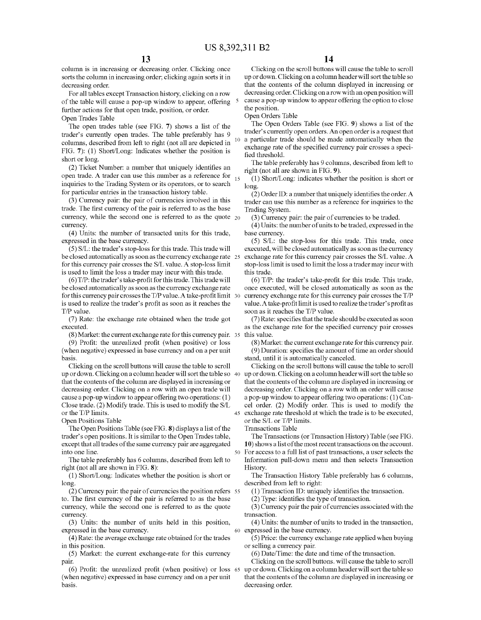column is in increasing or decreasing order. Clicking once sorts the column in increasing order; clicking again sorts it in decreasing order.

For all tables except Transaction history, clicking on a row of the table will cause a pop-up window to appear, offering <sup>5</sup> further actions for that open trade, position, or order. Open Trades Table

The open trades table (see FIG. **7)** shows a list of the trader's currently open trades. The table preferably has 9 columns, described from left to right (not all are depicted in FIG. **7):** (1) Short/Long: Indicates whether the position is short or long.

(2) Ticket Number: a number that uniquely identifies an open trade. A trader can use this number as a reference for  $_{15}$ inquiries to the Trading System or its operators, or to search for particular entries in the transaction history table.

(3) Currency pair: the pair of currencies involved in this trade. The first currency of the pair is referred to as the base currency, while the second one is referred to as the quote 20 (3) Currency pair: the pair of currencies to be traded. currency.

(4) Units: the number of transacted units for this trade, expressed in the base currency.

(5) S/L: the trader's stop-loss for this trade. This trade will be closed automatically as soon as the currency exchange rate 25 for this currency pair crosses the S/L value. A stop-loss limit is used to limit the loss a trader may incur with this trade.

 $(6)$  T/P: the trader's take-profit for this trade. This trade will be closed automatically as soon as the currency exchange rate for this currency pair crosses the  $T/P$  value. A take-profit limit 30 is used to realize the trader's profit as soon as it reaches the T/P value.

(7) Rate: the exchange rate obtained when the trade got executed.

(8) Market: the current exchange rate for this currency pair.

(9) Profit: the unrealized profit (when positive) or loss (when negative) expressed in base currency and on a per unit basis.

Clicking on the scroll buttons will cause the table to scroll up or down. Clicking on a column header will sort the table so 40 up or down. Clicking on a column header will sort the table so that the contents of the column are displayed in increasing or decreasing order. Clicking on a row with an open trade will cause a pop-up window to appear offering two operations: (1) Close trade. (2) Modify trade. This is used to modify the S/L or the T/P limits.

Open Positions Table

The Open Positions Table (see FIG. **8)** displays a list of the trader's open positions. It is similar to the Open Trades table, except that all trades of the same currency pair are aggregated into one line.

The table preferably has 6 columns, described from left to right (not all are shown in FIG. **8):** 

(1) Short/Long: Indicates whether the position is short or long.

(2) Currency pair: the pair of currencies the position refers 55 to. The first currency of the pair is referred to as the base currency, while the second one is referred to as the quote currency.

(3) Units: the number of units held in this position, expressed in the base currency.

(4) Rate: the average exchange rate obtained for the trades in this position.

(5) Market: the current exchange-rate for this currency pair.

(6) Profit: the unrealized profit (when positive) or loss (when negative) expressed in base currency and on a per unit basis.

Clicking on the scroll buttons will cause the table to scroll up or down. Clicking on a column header will sort the table so that the contents of the column displayed in increasing or decreasing order. Clicking on a row with an open position will cause a pop-up window to appear offering the option to close the position.

Open Orders Table

The Open Orders Table (see FIG. **9)** shows a list of the trader's currently open orders. An open order is a request that 10 a particular trade should be made automatically when the exchange rate of the specified currency pair crosses a specified threshold.

The table preferably has 9 columns, described from left to right (not all are shown in FIG. **9).** 

(1) Short/Long: indicates whether the position is short or long.

(2) Order ID: a number that uniquely identifies the order. A trader can use this number as a reference for inquiries to the Trading System.

 $(4)$  Units: the number of units to be traded, expressed in the base currency.

(5) S/L: the stop-loss for this trade. This trade, once executed, will be closed automatically as soon as the currency exchange rate for this currency pair crosses the S/L value. A stop-loss limit is used to limit the loss a trader may incur with this trade.

 $(6)$  T/P: the trader's take-profit for this trade. This trade, once executed, will be closed automatically as soon as the currency exchange rate for this currency pair crosses the T/P value. A take-profit limit is used to realize the trader's profit as soon as it reaches the T/P value.

(7) Rate: specifies that the trade should be executed as soon as the exchange rate for the specified currency pair crosses this value.

(8) Market: the current exchange rate for this currency pair. (9) Duration: specifies the amount of time an order should stand, until it is automatically canceled.

Clicking on the scroll buttons will cause the table to scroll that the contents of the column are displayed in increasing or decreasing order. Clicking on a row with an order will cause a pop-up window to appear offering two operations: (1) Cancel order. (2) Modify order. This is used to modify the 45 exchange rate threshold at which the trade is to be executed, or the S/L or T/P limits.

Transactions Table

The Transactions (or Transaction History) Table (see FIG. **10)** shows a list of the most recent transactions on the account. 50 For access to a full list of past transactions, a user selects the Information pull-down menu and then selects Transaction History.

The Transaction History Table preferably has 6 columns, described from left to right:

(1) Transaction ID: uniquely identifies the transaction.

(2) Type: identifies the type of transaction.

(3) Currency pair the pair of currencies associated with the transaction.

( 4) Units: the number of units to traded in the transaction, 60 expressed in the base currency.

( 5) Price: the currency exchange rate applied when buying or selling a currency pair.

(6) Date/Time: the date and time of the transaction.

Clicking on the scroll buttons. will cause the table to scroll 65 up or down. Clicking on a column header will sort the table so that the contents of the column are displayed in increasing or decreasing order.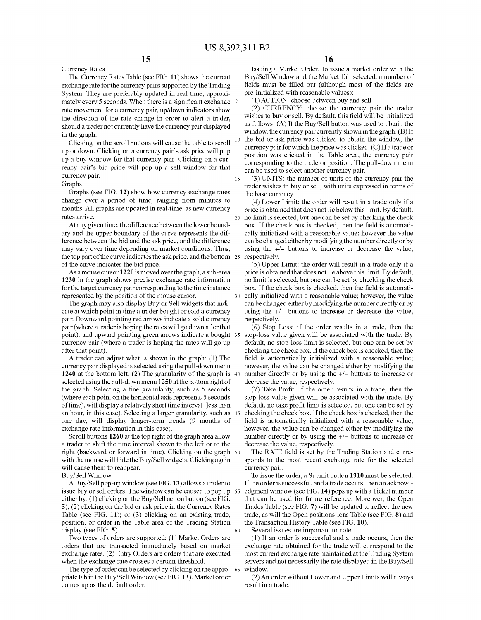The Currency Rates Table (see FIG. **11)** shows the current exchange rate for the currency pairs supported by the Trading System. They are preferably updated in real time, approximately every 5 seconds. When there is a significant exchange  $5$ rate movement for a currency pair, up/down indicators show the direction of the rate change in order to alert a trader, should a trader not currently have the currency pair displayed

Clicking on the scroll buttons will cause the table to scroll up or down. Clicking on a currency pair's ask price will pop up a buy window for that currency pair. Clicking on a currency pair's bid price will pop up a sell window for that currency pair.

Graphs

Currency Rates

Graphs (see FIG. **12)** show how currency exchange rates change over a period of time, ranging from minutes to months. All graphs are updated in real-time, as new currency rates arrive.

At any given time, the difference between the lower boundary and the upper boundary of the curve represents the difference between the bid and the ask price, and the difference may vary over time depending on market conditions. Thus, the top part of the curve indicates the ask price, and the bottom of the curve indicates the bid price.

As a mouse cursor **1220** is moved over the graph, a sub-area **1230** in the graph shows precise exchange rate information for the target currency pair corresponding to the time instance represented by the position of the mouse cursor.

The graph may also display Buy or Sell widgets that indicate at which point in time a trader bought or sold a currency pair. Downward pointing red arrows indicate a sold currency pair (where a trader is hoping the rates will go down after that point), and upward pointing green arrows indicate a bought currency pair (where a trader is hoping the rates will go up after that point).

A trader can adjust what is shown in the graph: (1) The currency pair displayed is selected using the pull-down menu **1240** at the bottom left. (2) The granularity of the graph is 40 selected using the pull-down menu **1250** at the bottom right of the graph. Selecting a fine granularity, such as 5 seconds (where each point on the horizontal axis represents 5 seconds of time), will display a relatively short time interval (less than an hour, in this case). Selecting a larger granularity, such as one day, will display longer-term trends (9 months of exchange rate information in this case).

Scroll buttons **1260** at the top right of the graph area allow a trader to shift the time interval shown to the left or to the right (backward or forward in time). Clicking on the graph 50 with the mouse will hide the Buy/Sell widgets. Clicking again will cause them to reappear.

Buy/Sell Window

A Buy/Sell pop-up window (see FIG.13) allows a trader to issue buy or sell orders. The window can be caused to pop up 55 either by: (1) clicking on the Buy/Sell action button (see FIG. **5);** (2) clicking on the bid or ask price in the Currency Rates Table (see FIG. **11);** or (3) clicking on an existing trade, position, or order in the Table area of the Trading Station display (see FIG. **5).**  60

Two types of orders are supported: (1) Market Orders are orders that are transacted immediately based on market exchange rates. (2) Entry Orders are orders that are executed when the exchange rate crosses a certain threshold.

The type of order can be selected by clicking on the appro- <sup>65</sup> priate tab in the Buy/Sell Window (see FIG. 13). Market order comes up as the default order.

Issuing a Market Order. To issue a market order with the Buy/Sell Window and the Market Tab selected, a number of fields must be filled out (although most of the fields are pre-initialized with reasonable values):

(!)ACTION: choose between buy and sell.

(2) CURRENCY: choose the currency pair the trader wishes to buy or sell. By default, this field will be initialized as follows: (A) If the Buy/Sell button was used to obtain the window, the currency pair currently shown in the graph. (B) If in the graph. (B) If the bid or ask price was clicked to obtain the window, the currency pair for which the price was clicked. (C) If a trade or position was clicked in the Table area, the currency pair corresponding to the trade or position. The pull-down menu can be used to select another currency pair.

> 15 (3) UNITS: the number of units of the currency pair the trader wishes to buy or sell, with units expressed in terms of the base currency.

> ( 4) Lower Limit: the order will result in a trade only if a price is obtained that does not lie below this limit. By default, 20 no limit is selected, but one can be set by checking the check box. If the check box is checked, then the field is automatically initialized with a reasonable value; however the value can be changed either by modifying the number directly or by using the +/- buttons to increase or decrease the value, respectively.

(5) Upper Limit: the order will result in a trade only if a price is obtained that does not lie above this limit. By default, no limit is selected, but one can be set by checking the check box. If the check box is checked, then the field is automatically initialized with a reasonable value; however, the value can be changed either by modifying the number directly or by using the +/- buttons to increase or decrease the value, respectively.

(6) Stop Loss: if the order results in a trade, then the stop-loss value given will be associated with the trade. By default, no stop-loss limit is selected, but one can be set by checking the check box. If the check box is checked, then the field is automatically initialized with a reasonable value; however, the value can be changed either by modifying the number directly or by using the  $+/-$  buttons to increase or decrease the value, respectively.

(7) Take Profit: if the order results in a trade, then the stop-loss value given will be associated with the trade. By default, no take profit limit is selected, but one can be set by checking the check box. If the check box is checked, then the field is automatically initialized with a reasonable value; however, the value can be changed either by modifying the number directly or by using the  $+/-$  buttons to increase or decrease the value, respectively.

The RATE field is set by the Trading Station and corresponds to the most recent exchange rate for the selected currency pair.

To issue the order, a Submit button **1310** must be selected. If the order is successful, and a trade occurs, then an acknowledgment window (see FIG. **14)** pops up with a Ticket number that can be used for future reference. Moreover, the Open Trades Table (see FIG. **7)** will be updated to reflect the new trade, as will the Open positions-ions Table (see FIG. **8)** and the Transaction History Table (see FIG. **10).** 

Several issues are important to note:

(1) If an order is successful and a trade occurs, then the exchange rate obtained for the trade will correspond to the most current exchange rate maintained at the Trading System servers and not necessarily the rate displayed in the Buy/Sell window.

(2) An order without Lower and Upper Limits will always result in a trade.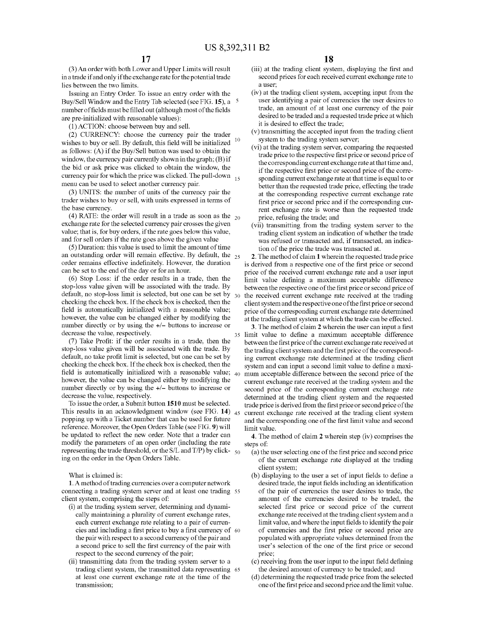(3) An order with both Lower and Upper Limits will result in a trade if and only if the exchange rate for the potential trade lies between the two limits.

Issuing an Entry Order. To issue an entry order with the Buy/Sell Window and the Entry Tab selected (see FIG. **15),** a 5 number of fields must be filled out ( although most of the fields are pre-initialized with reasonable values):

(!)ACTION: choose between buy and sell.

(2) CURRENCY: choose the currency pair the trader wishes to buy or sell. By default, this field will be initialized  $10$ as follows: (A) if the Buy/Sell button was used to obtain the window, the currency pair currently shown in the graph; (B) if the bid or ask price was clicked to obtain the window, the currency pair for which the price was clicked. The pull-down  $_{15}$ menu can be used to select another currency pair.

(3) UNITS: the number of units of the currency pair the trader wishes to buy or sell, with units expressed in terms of the base currency.

(4) RATE: the order will result in a trade as soon as the  $_{20}$ exchange rate for the selected currency pair crosses the given value; that is, for buy orders, if the rate goes below this value, and for sell orders if the rate goes above the given value

(5) Duration: this value is used to limit the amount of time an outstanding order will remain effective. By default, the  $_{25}$ order remains effective indefinitely. However, the duration can be set to the end of the day or for an hour.

(6) Stop Loss: if the order results in a trade, then the stop-loss value given will be associated with the trade. By default, no stop-loss limit is selected, but one can be set by  $_{30}$ checking the check box. If the check box is checked, then the field is automatically initialized with a reasonable value; however, the value can be changed either by modifying the number directly or by using the  $+/-$  buttons to increase or decrease the value, respectively.

(7) Take Profit: if the order results in a trade, then the stop-loss value given will be associated with the trade. By default, no take profit limit is selected, but one can be set by checking the check box. If the check box is checked, then the field is automatically initialized with a reasonable value;  $_{40}$ however, the value can be changed either by modifying the number directly or by using the +/- buttons to increase or decrease the value, respectively.

To issue the order, a Submit button **1510** must be selected. This results in an acknowledgment window (see FIG. **14)**  popping up with a Ticket number that can be used for future reference. Moreover, the Open Orders Table (see FIG. **9)** will be updated to reflect the new order. Note that a trader can modify the parameters of an open order (including the rate representing the trade threshold, or the S/L and T/P) by click-  $\epsilon_{50}$ ing on the order in the Open Orders Table.

What is claimed is:

**1.** A method of trading currencies over a computer network connecting a trading system server and at least one trading 55 client system, comprising the steps of:

- (i) at the trading system server, determining and dynamically maintaining a plurality of current exchange rates, each current exchange rate relating to a pair of currencies and including a first price to buy a first currency of 60 the pair with respect to a second currency of the pair and a second price to sell the first currency of the pair with respect to the second currency of the pair;
- (ii) transmitting data from the trading system server to a trading client system, the transmitted data representing 65 at least one current exchange rate at the time of the transmission;

(iii) at the trading client system, displaying the first and second prices for each received current exchange rate to a user;

- (iv) at the trading client system, accepting input from the user identifying a pair of currencies the user desires to trade, an amount of at least one currency of the pair desired to be traded and a requested trade price at which it is desired to effect the trade;
- (v) transmitting the accepted input from the trading client system to the trading system server;
- (vi) at the trading system server, comparing the requested trade price to the respective first price or second price of the corresponding current exchange rate at that time and, if the respective first price or second price of the corresponding current exchange rate at that time is equal to or better than the requested trade price, effecting the trade at the corresponding respective current exchange rate first price or second price and if the corresponding current exchange rate is worse than the requested trade price, refusing the trade; and
- (vii) transmitting from the trading system server to the trading client system an indication of whether the trade was refused or transacted and, if transacted, an indication of the price the trade was transacted at.

**2.** The method of claim **1** wherein the requested trade price is derived from a respective one of the first price or second price of the received current exchange rate and a user input limit value defining a maximum acceptable difference between the respective one of the first price or second price of the received current exchange rate received at the trading client system and the respective one of the first price or second price of the corresponding current exchange rate determined at the trading client system at which the trade can be effected.

**3.** The method of claim **2** wherein the user can input a first 35 limit value to define a maximum acceptable difference between the first price of the current exchange rate received at the trading client system and the first price of the corresponding current exchange rate determined at the trading client system and can input a second limit value to define a maximum acceptable difference between the second price of the current exchange rate received at the trading system and the second price of the corresponding current exchange rate determined at the trading client system and the requested trade price is derived from the first price or second price of the current exchange rate received at the trading client system and the corresponding one of the first limit value and second limit value.

**4.** The method of claim **2** wherein step (iv) comprises the steps of:

- (a) the user selecting one of the first price and second price of the current exchange rate displayed at the trading client system;
- (b) displaying to the user a set of input fields to define a desired trade, the input fields including an identification of the pair of currencies the user desires to trade, the amount of the currencies desired to be traded, the selected first price or second price of the current exchange rate received at the trading client system and a limit value, and where the input fields to identify the pair of currencies and the first price or second price are populated with appropriate values determined from the user's selection of the one of the first price or second price;
- ( c) receiving from the user input to the input field defining the desired amount of currency to be traded; and
- ( d) determining the requested trade price from the selected one of the first price and second price and the limit value.